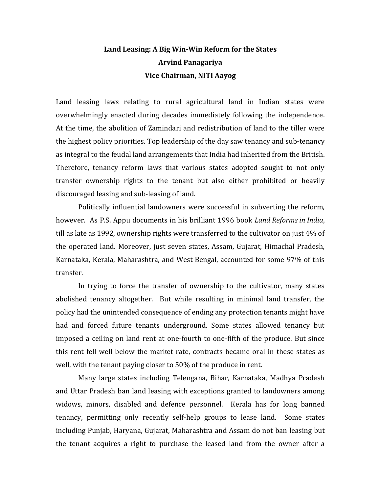## **Land Leasing: A Big Win-Win Reform for the States Arvind Panagariya Vice Chairman, NITI Aayog**

Land leasing laws relating to rural agricultural land in Indian states were overwhelmingly enacted during decades immediately following the independence. At the time, the abolition of Zamindari and redistribution of land to the tiller were the highest policy priorities. Top leadership of the day saw tenancy and sub-tenancy as integral to the feudal land arrangements that India had inherited from the British. Therefore, tenancy reform laws that various states adopted sought to not only transfer ownership rights to the tenant but also either prohibited or heavily discouraged leasing and sub-leasing of land.

Politically influential landowners were successful in subverting the reform, however. As P.S. Appu documents in his brilliant 1996 book *Land Reforms in India*, till as late as 1992, ownership rights were transferred to the cultivator on just 4% of the operated land. Moreover, just seven states, Assam, Gujarat, Himachal Pradesh, Karnataka, Kerala, Maharashtra, and West Bengal, accounted for some 97% of this transfer.

In trying to force the transfer of ownership to the cultivator, many states abolished tenancy altogether. But while resulting in minimal land transfer, the policy had the unintended consequence of ending any protection tenants might have had and forced future tenants underground. Some states allowed tenancy but imposed a ceiling on land rent at one-fourth to one-fifth of the produce. But since this rent fell well below the market rate, contracts became oral in these states as well, with the tenant paying closer to 50% of the produce in rent.

Many large states including Telengana, Bihar, Karnataka, Madhya Pradesh and Uttar Pradesh ban land leasing with exceptions granted to landowners among widows, minors, disabled and defence personnel. Kerala has for long banned tenancy, permitting only recently self-help groups to lease land. Some states including Punjab, Haryana, Gujarat, Maharashtra and Assam do not ban leasing but the tenant acquires a right to purchase the leased land from the owner after a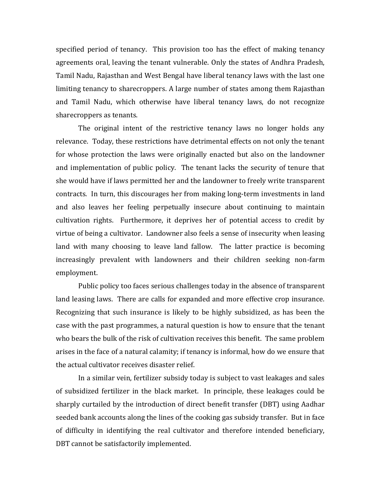specified period of tenancy. This provision too has the effect of making tenancy agreements oral, leaving the tenant vulnerable. Only the states of Andhra Pradesh, Tamil Nadu, Rajasthan and West Bengal have liberal tenancy laws with the last one limiting tenancy to sharecroppers. A large number of states among them Rajasthan and Tamil Nadu, which otherwise have liberal tenancy laws, do not recognize sharecroppers as tenants.

The original intent of the restrictive tenancy laws no longer holds any relevance. Today, these restrictions have detrimental effects on not only the tenant for whose protection the laws were originally enacted but also on the landowner and implementation of public policy. The tenant lacks the security of tenure that she would have if laws permitted her and the landowner to freely write transparent contracts. In turn, this discourages her from making long-term investments in land and also leaves her feeling perpetually insecure about continuing to maintain cultivation rights. Furthermore, it deprives her of potential access to credit by virtue of being a cultivator. Landowner also feels a sense of insecurity when leasing land with many choosing to leave land fallow. The latter practice is becoming increasingly prevalent with landowners and their children seeking non-farm employment.

Public policy too faces serious challenges today in the absence of transparent land leasing laws. There are calls for expanded and more effective crop insurance. Recognizing that such insurance is likely to be highly subsidized, as has been the case with the past programmes, a natural question is how to ensure that the tenant who bears the bulk of the risk of cultivation receives this benefit. The same problem arises in the face of a natural calamity; if tenancy is informal, how do we ensure that the actual cultivator receives disaster relief.

In a similar vein, fertilizer subsidy today is subject to vast leakages and sales of subsidized fertilizer in the black market. In principle, these leakages could be sharply curtailed by the introduction of direct benefit transfer (DBT) using Aadhar seeded bank accounts along the lines of the cooking gas subsidy transfer. But in face of difficulty in identifying the real cultivator and therefore intended beneficiary, DBT cannot be satisfactorily implemented.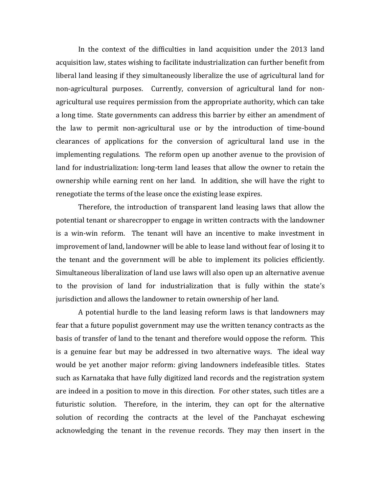In the context of the difficulties in land acquisition under the 2013 land acquisition law, states wishing to facilitate industrialization can further benefit from liberal land leasing if they simultaneously liberalize the use of agricultural land for non-agricultural purposes. Currently, conversion of agricultural land for nonagricultural use requires permission from the appropriate authority, which can take a long time. State governments can address this barrier by either an amendment of the law to permit non-agricultural use or by the introduction of time-bound clearances of applications for the conversion of agricultural land use in the implementing regulations. The reform open up another avenue to the provision of land for industrialization: long-term land leases that allow the owner to retain the ownership while earning rent on her land. In addition, she will have the right to renegotiate the terms of the lease once the existing lease expires.

Therefore, the introduction of transparent land leasing laws that allow the potential tenant or sharecropper to engage in written contracts with the landowner is a win-win reform. The tenant will have an incentive to make investment in improvement of land, landowner will be able to lease land without fear of losing it to the tenant and the government will be able to implement its policies efficiently. Simultaneous liberalization of land use laws will also open up an alternative avenue to the provision of land for industrialization that is fully within the state's jurisdiction and allows the landowner to retain ownership of her land.

A potential hurdle to the land leasing reform laws is that landowners may fear that a future populist government may use the written tenancy contracts as the basis of transfer of land to the tenant and therefore would oppose the reform. This is a genuine fear but may be addressed in two alternative ways. The ideal way would be yet another major reform: giving landowners indefeasible titles. States such as Karnataka that have fully digitized land records and the registration system are indeed in a position to move in this direction. For other states, such titles are a futuristic solution. Therefore, in the interim, they can opt for the alternative solution of recording the contracts at the level of the Panchayat eschewing acknowledging the tenant in the revenue records. They may then insert in the